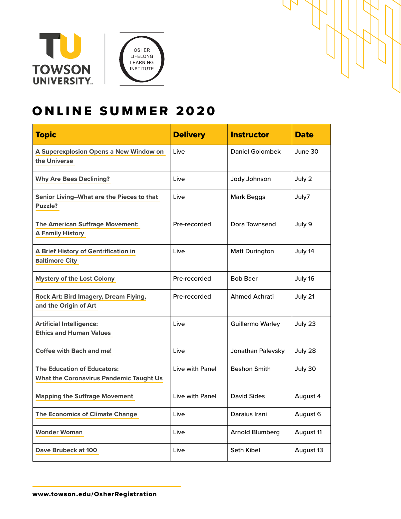





# ONLINE SUMMER 2020

| <b>Topic</b>                                                                         | <b>Delivery</b> | <b>Instructor</b>       | <b>Date</b> |
|--------------------------------------------------------------------------------------|-----------------|-------------------------|-------------|
| A Superexplosion Opens a New Window on<br>the Universe                               | Live            | <b>Daniel Golombek</b>  | June 30     |
| <b>Why Are Bees Declining?</b>                                                       | Live            | Jody Johnson            | July 2      |
| Senior Living--What are the Pieces to that<br>Puzzle?                                | Live            | <b>Mark Beggs</b>       | July7       |
| <b>The American Suffrage Movement:</b><br><b>A Family History</b>                    | Pre-recorded    | Dora Townsend           | July 9      |
| A Brief History of Gentrification in<br><b>Baltimore City</b>                        | Live            | <b>Matt Durington</b>   | July 14     |
| <b>Mystery of the Lost Colony</b>                                                    | Pre-recorded    | <b>Bob Baer</b>         | July 16     |
| Rock Art: Bird Imagery, Dream Flying,<br>and the Origin of Art                       | Pre-recorded    | <b>Ahmed Achrati</b>    | July 21     |
| <b>Artificial Intelligence:</b><br><b>Ethics and Human Values</b>                    | Live            | <b>Guillermo Warley</b> | July 23     |
| <b>Coffee with Bach and me!</b>                                                      | Live            | Jonathan Palevsky       | July 28     |
| <b>The Education of Educators:</b><br><b>What the Coronavirus Pandemic Taught Us</b> | Live with Panel | <b>Beshon Smith</b>     | July 30     |
| <b>Mapping the Suffrage Movement</b>                                                 | Live with Panel | David Sides             | August 4    |
| <b>The Economics of Climate Change</b>                                               | Live            | Daraius Irani           | August 6    |
| <b>Wonder Woman</b>                                                                  | Live            | <b>Arnold Blumberg</b>  | August 11   |
| Dave Brubeck at 100                                                                  | Live            | Seth Kibel              | August 13   |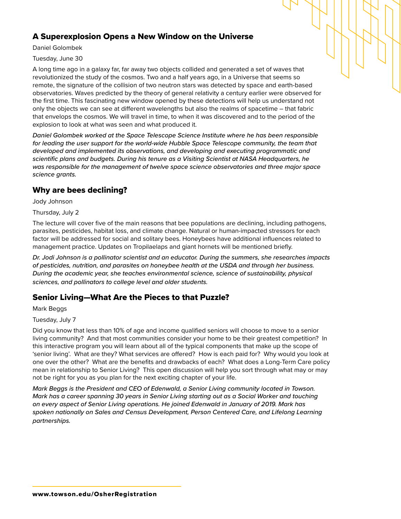### <span id="page-1-0"></span>A Superexplosion Opens a New Window on the Universe

Daniel Golombek

Tuesday, June 30

A long time ago in a galaxy far, far away two objects collided and generated a set of waves that revolutionized the study of the cosmos. Two and a half years ago, in a Universe that seems so remote, the signature of the collision of two neutron stars was detected by space and earth-based observatories. Waves predicted by the theory of general relativity a century earlier were observed for the first time. This fascinating new window opened by these detections will help us understand not only the objects we can see at different wavelengths but also the realms of spacetime – that fabric that envelops the cosmos. We will travel in time, to when it was discovered and to the period of the explosion to look at what was seen and what produced it.

*Daniel Golombek worked at the Space Telescope Science Institute where he has been responsible for leading the user support for the world-wide Hubble Space Telescope community, the team that developed and implemented its observations, and developing and executing programmatic and scientific plans and budgets. During his tenure as a Visiting Scientist at NASA Headquarters, he was responsible for the management of twelve space science observatories and three major space science grants.* 

#### <span id="page-1-1"></span>Why are bees declining?

Jody Johnson

Thursday, July 2

The lecture will cover five of the main reasons that bee populations are declining, including pathogens, parasites, pesticides, habitat loss, and climate change. Natural or human-impacted stressors for each factor will be addressed for social and solitary bees. Honeybees have additional influences related to management practice. Updates on Tropilaelaps and giant hornets will be mentioned briefly.

*Dr. Jodi Johnson is a pollinator scientist and an educator. During the summers, she researches impacts of pesticides, nutrition, and parasites on honeybee health at the USDA and through her business. During the academic year, she teaches environmental science, science of sustainability, physical sciences, and pollinators to college level and older students.*

## <span id="page-1-2"></span>Senior Living—What Are the Pieces to that Puzzle?

Mark Beggs

Tuesday, July 7

Did you know that less than 10% of age and income qualified seniors will choose to move to a senior living community? And that most communities consider your home to be their greatest competition? In this interactive program you will learn about all of the typical components that make up the scope of 'senior living'. What are they? What services are offered? How is each paid for? Why would you look at one over the other? What are the benefits and drawbacks of each? What does a Long-Term Care policy mean in relationship to Senior Living? This open discussion will help you sort through what may or may not be right for you as you plan for the next exciting chapter of your life.

*Mark Beggs is the President and CEO of Edenwald, a Senior Living community located in Towson. Mark has a career spanning 30 years in Senior Living starting out as a Social Worker and touching on every aspect of Senior Living operations. He joined Edenwald in January of 2019. Mark has spoken nationally on Sales and Census Development, Person Centered Care, and Lifelong Learning partnerships.*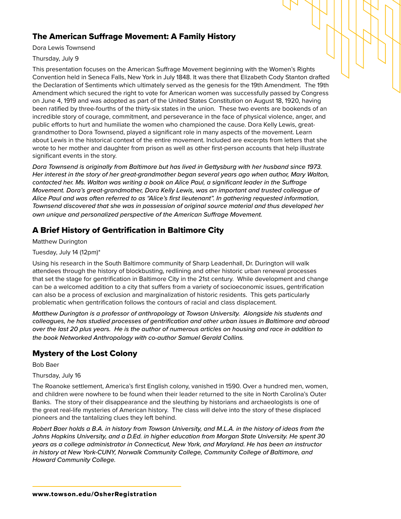## <span id="page-2-2"></span>The American Suffrage Movement: A Family History

Dora Lewis Townsend

#### Thursday, July 9

This presentation focuses on the American Suffrage Movement beginning with the Women's Rights Convention held in Seneca Falls, New York in July 1848. It was there that Elizabeth Cody Stanton drafted the Declaration of Sentiments which ultimately served as the genesis for the 19th Amendment. The 19th Amendment which secured the right to vote for American women was successfully passed by Congress on June 4, 1919 and was adopted as part of the United States Constitution on August 18, 1920, having been ratified by three-fourths of the thirty-six states in the union. These two events are bookends of an incredible story of courage, commitment, and perseverance in the face of physical violence, anger, and public efforts to hurt and humiliate the women who championed the cause. Dora Kelly Lewis, greatgrandmother to Dora Townsend, played a significant role in many aspects of the movement. Learn about Lewis in the historical context of the entire movement. Included are excerpts from letters that she wrote to her mother and daughter from prison as well as other first-person accounts that help illustrate significant events in the story.

*Dora Townsend is originally from Baltimore but has lived in Gettysburg with her husband since 1973. Her interest in the story of her great-grandmother began several years ago when author, Mary Walton, contacted her. Ms. Walton was writing a book on Alice Paul, a significant leader in the Suffrage Movement. Dora's great-grandmother, Dora Kelly Lewis, was an important and trusted colleague of Alice Paul and was often referred to as "Alice's first lieutenant". In gathering requested information, Townsend discovered that she was in possession of original source material and thus developed her own unique and personalized perspective of the American Suffrage Movement.* 

### <span id="page-2-0"></span>A Brief History of Gentrification in Baltimore City

Matthew Durington

#### Tuesday, July 14 (12pm)\*

Using his research in the South Baltimore community of Sharp Leadenhall, Dr. Durington will walk attendees through the history of blockbusting, redlining and other historic urban renewal processes that set the stage for gentrification in Baltimore City in the 21st century. While development and change can be a welcomed addition to a city that suffers from a variety of socioeconomic issues, gentrification can also be a process of exclusion and marginalization of historic residents. This gets particularly problematic when gentrification follows the contours of racial and class displacement.

*Matthew Durington is a professor of anthropology at Towson University. Alongside his students and colleagues, he has studied processes of gentrification and other urban issues in Baltimore and abroad over the last 20 plus years. He is the author of numerous articles on housing and race in addition to the book Networked Anthropology with co-author Samuel Gerald Collins.*

#### <span id="page-2-1"></span>Mystery of the Lost Colony

Bob Baer

#### Thursday, July 16

The Roanoke settlement, America's first English colony, vanished in 1590. Over a hundred men, women, and children were nowhere to be found when their leader returned to the site in North Carolina's Outer Banks. The story of their disappearance and the sleuthing by historians and archaeologists is one of the great real-life mysteries of American history. The class will delve into the story of these displaced pioneers and the tantalizing clues they left behind.

*Robert Baer holds a B.A. in history from Towson University, and M.L.A. in the history of ideas from the Johns Hopkins University, and a D.Ed. in higher education from Morgan State University. He spent 30 years as a college administrator in Connecticut, New York, and Maryland. He has been an instructor in history at New York-CUNY, Norwalk Community College, Community College of Baltimore, and Howard Community College.*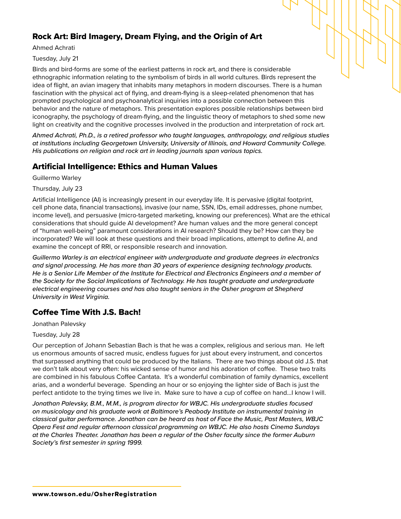## <span id="page-3-0"></span>Rock Art: Bird Imagery, Dream Flying, and the Origin of Art

Ahmed Achrati

Tuesday, July 21

Birds and bird-forms are some of the earliest patterns in rock art, and there is considerable ethnographic information relating to the symbolism of birds in all world cultures. Birds represent the idea of flight, an avian imagery that inhabits many metaphors in modern discourses. There is a human fascination with the physical act of flying, and dream-flying is a sleep-related phenomenon that has prompted psychological and psychoanalytical inquiries into a possible connection between this behavior and the nature of metaphors. This presentation explores possible relationships between bird iconography, the psychology of dream-flying, and the linguistic theory of metaphors to shed some new light on creativity and the cognitive processes involved in the production and interpretation of rock art.

*Ahmed Achrati, Ph.D., is a retired professor who taught languages, anthropology, and religious studies at institutions including Georgetown University, University of Illinois, and Howard Community College. His publications on religion and rock art in leading journals span various topics.*

### <span id="page-3-1"></span>Artificial Intelligence: Ethics and Human Values

Guillermo Warley

Thursday, July 23

Artificial Intelligence (AI) is increasingly present in our everyday life. It is pervasive (digital footprint, cell phone data, financial transactions), invasive (our name, SSN, IDs, email addresses, phone number, income level), and persuasive (micro-targeted marketing, knowing our preferences). What are the ethical considerations that should guide AI development? Are human values and the more general concept of "human well-being" paramount considerations in AI research? Should they be? How can they be incorporated? We will look at these questions and their broad implications, attempt to define AI, and examine the concept of RRI, or responsible research and innovation.

*Guillermo Warley is an electrical engineer with undergraduate and graduate degrees in electronics and signal processing. He has more than 30 years of experience designing technology products. He is a Senior Life Member of the Institute for Electrical and Electronics Engineers and a member of the Society for the Social Implications of Technology. He has taught graduate and undergraduate electrical engineering courses and has also taught seniors in the Osher program at Shepherd University in West Virginia.*

## <span id="page-3-2"></span>Coffee Time With J.S. Bach!

Jonathan Palevsky

#### Tuesday, July 28

Our perception of Johann Sebastian Bach is that he was a complex, religious and serious man. He left us enormous amounts of sacred music, endless fugues for just about every instrument, and concertos that surpassed anything that could be produced by the Italians. There are two things about old J.S. that we don't talk about very often: his wicked sense of humor and his adoration of coffee. These two traits are combined in his fabulous Coffee Cantata. It's a wonderful combination of family dynamics, excellent arias, and a wonderful beverage. Spending an hour or so enjoying the lighter side of Bach is just the perfect antidote to the trying times we live in. Make sure to have a cup of coffee on hand...I know I will.

*Jonathan Palevsky, B.M., M.M., is program director for WBJC. His undergraduate studies focused on musicology and his graduate work at Baltimore's Peabody Institute on instrumental training in classical guitar performance. Jonathan can be heard as host of Face the Music, Past Masters, WBJC Opera Fest and regular afternoon classical programming on WBJC. He also hosts Cinema Sundays at the Charles Theater. Jonathan has been a regular of the Osher faculty since the former Auburn Society's first semester in spring 1999.*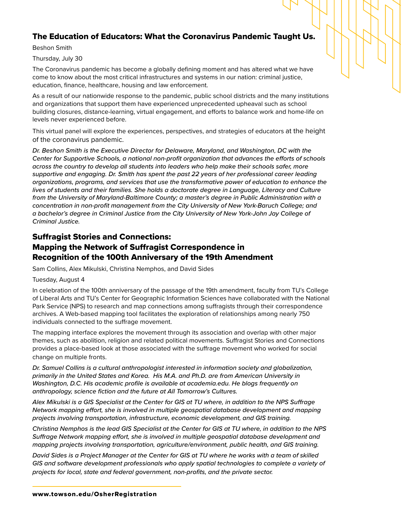## <span id="page-4-1"></span>The Education of Educators: What the Coronavirus Pandemic Taught Us.

Beshon Smith

#### Thursday, July 30

The Coronavirus pandemic has become a globally defining moment and has altered what we have come to know about the most critical infrastructures and systems in our nation: criminal justice, education, finance, healthcare, housing and law enforcement.

As a result of our nationwide response to the pandemic, public school districts and the many institutions and organizations that support them have experienced unprecedented upheaval such as school building closures, distance-learning, virtual engagement, and efforts to balance work and home-life on levels never experienced before.

This virtual panel will explore the experiences, perspectives, and strategies of educators at the height of the coronavirus pandemic.

*Dr. Beshon Smith is the Executive Director for Delaware, Maryland, and Washington, DC with the Center for Supportive Schools, a national non-profit organization that advances the efforts of schools across the country to develop all students into leaders who help make their schools safer, more supportive and engaging. Dr. Smith has spent the past 22 years of her professional career leading organizations, programs, and services that use the transformative power of education to enhance the lives of students and their families. She holds a doctorate degree in Language, Literacy and Culture from the University of Maryland-Baltimore County; a master's degree in Public Administration with a concentration in non-profit management from the City University of New York-Baruch College; and a bachelor's degree in Criminal Justice from the City University of New York-John Jay College of Criminal Justice.*

## <span id="page-4-0"></span>Suffragist Stories and Connections: Mapping the Network of Suffragist Correspondence in Recognition of the 100th Anniversary of the 19th Amendment

Sam Collins, Alex Mikulski, Christina Nemphos, and David Sides

#### Tuesday, August 4

In celebration of the 100th anniversary of the passage of the 19th amendment, faculty from TU's College of Liberal Arts and TU's Center for Geographic Information Sciences have collaborated with the National Park Service (NPS) to research and map connections among suffragists through their correspondence archives. A Web-based mapping tool facilitates the exploration of relationships among nearly 750 individuals connected to the suffrage movement.

The mapping interface explores the movement through its association and overlap with other major themes, such as abolition, religion and related political movements. Suffragist Stories and Connections provides a place-based look at those associated with the suffrage movement who worked for social change on multiple fronts.

*Dr. Samuel Collins is a cultural anthropologist interested in information society and globalization, primarily in the United States and Korea. His M.A. and Ph.D. are from American University in Washington, D.C. His academic profile is available at academia.edu. He blogs frequently on anthropology, science fiction and the future at All Tomorrow's Cultures.*

*Alex Mikulski is a GIS Specialist at the Center for GIS at TU where, in addition to the NPS Suffrage Network mapping effort, she is involved in multiple geospatial database development and mapping projects involving transportation, infrastructure, economic development, and GIS training.* 

*Christina Nemphos is the lead GIS Specialist at the Center for GIS at TU where, in addition to the NPS Suffrage Network mapping effort, she is involved in multiple geospatial database development and mapping projects involving transportation, agriculture/environment, public health, and GIS training.* 

*David Sides is a Project Manager at the Center for GIS at TU where he works with a team of skilled GIS and software development professionals who apply spatial technologies to complete a variety of projects for local, state and federal government, non-profits, and the private sector.*